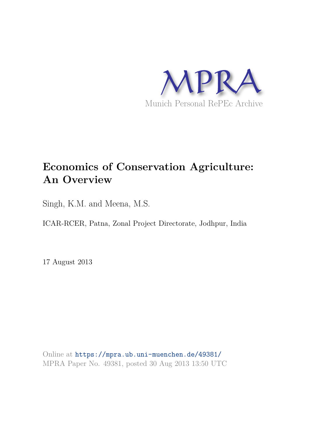

# **Economics of Conservation Agriculture: An Overview**

Singh, K.M. and Meena, M.S.

ICAR-RCER, Patna, Zonal Project Directorate, Jodhpur, India

17 August 2013

Online at https://mpra.ub.uni-muenchen.de/49381/ MPRA Paper No. 49381, posted 30 Aug 2013 13:50 UTC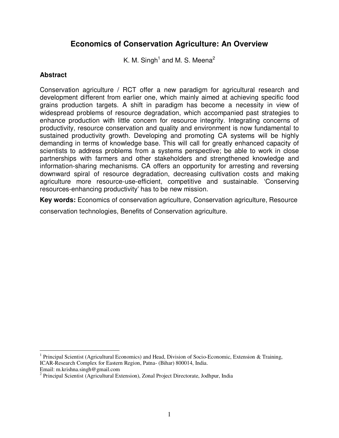# **Economics of Conservation Agriculture: An Overview**

K. M. Singh<sup>1</sup> and M. S. Meena<sup>2</sup>

#### **Abstract**

Conservation agriculture / RCT offer a new paradigm for agricultural research and development different from earlier one, which mainly aimed at achieving specific food grains production targets. A shift in paradigm has become a necessity in view of widespread problems of resource degradation, which accompanied past strategies to enhance production with little concern for resource integrity. Integrating concerns of productivity, resource conservation and quality and environment is now fundamental to sustained productivity growth. Developing and promoting CA systems will be highly demanding in terms of knowledge base. This will call for greatly enhanced capacity of scientists to address problems from a systems perspective; be able to work in close partnerships with farmers and other stakeholders and strengthened knowledge and information-sharing mechanisms. CA offers an opportunity for arresting and reversing downward spiral of resource degradation, decreasing cultivation costs and making agriculture more resource-use-efficient, competitive and sustainable. 'Conserving resources-enhancing productivity' has to be new mission.

**Key words:** Economics of conservation agriculture, Conservation agriculture, Resource

conservation technologies, Benefits of Conservation agriculture.

l

<sup>&</sup>lt;sup>1</sup> Principal Scientist (Agricultural Economics) and Head, Division of Socio-Economic, Extension & Training, ICAR-Research Complex for Eastern Region, Patna- (Bihar) 800014, India.

Email: m.krishna.singh@gmail.com

<sup>&</sup>lt;sup>2</sup> Principal Scientist (Agricultural Extension), Zonal Project Directorate, Jodhpur, India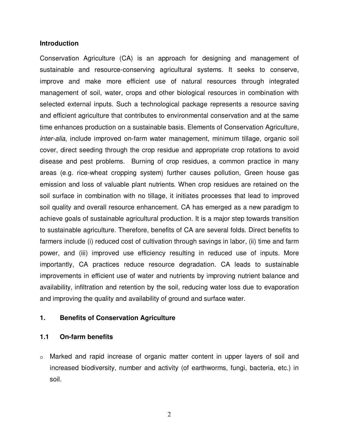#### **Introduction**

Conservation Agriculture (CA) is an approach for designing and management of sustainable and resource-conserving agricultural systems. It seeks to conserve, improve and make more efficient use of natural resources through integrated management of soil, water, crops and other biological resources in combination with selected external inputs. Such a technological package represents a resource saving and efficient agriculture that contributes to environmental conservation and at the same time enhances production on a sustainable basis. Elements of Conservation Agriculture, *inter-alia*, include improved on-farm water management, minimum tillage, organic soil cover, direct seeding through the crop residue and appropriate crop rotations to avoid disease and pest problems. Burning of crop residues, a common practice in many areas (e.g. rice-wheat cropping system) further causes pollution, Green house gas emission and loss of valuable plant nutrients. When crop residues are retained on the soil surface in combination with no tillage, it initiates processes that lead to improved soil quality and overall resource enhancement. CA has emerged as a new paradigm to achieve goals of sustainable agricultural production. It is a major step towards transition to sustainable agriculture. Therefore, benefits of CA are several folds. Direct benefits to farmers include (i) reduced cost of cultivation through savings in labor, (ii) time and farm power, and (iii) improved use efficiency resulting in reduced use of inputs. More importantly, CA practices reduce resource degradation. CA leads to sustainable improvements in efficient use of water and nutrients by improving nutrient balance and availability, infiltration and retention by the soil, reducing water loss due to evaporation and improving the quality and availability of ground and surface water.

#### **1. Benefits of Conservation Agriculture**

#### **1.1 On-farm benefits**

o Marked and rapid increase of organic matter content in upper layers of soil and increased biodiversity, number and activity (of earthworms, fungi, bacteria, etc.) in soil.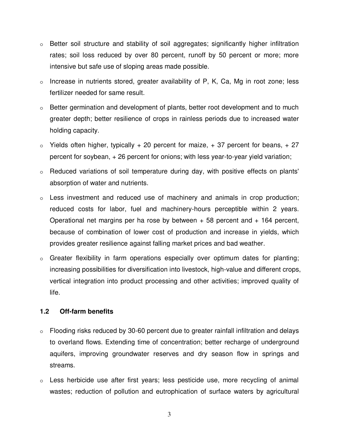- $\circ$  Better soil structure and stability of soil aggregates; significantly higher infiltration rates; soil loss reduced by over 80 percent, runoff by 50 percent or more; more intensive but safe use of sloping areas made possible.
- o Increase in nutrients stored, greater availability of P, K, Ca, Mg in root zone; less fertilizer needed for same result.
- o Better germination and development of plants, better root development and to much greater depth; better resilience of crops in rainless periods due to increased water holding capacity.
- $\circ$  Yields often higher, typically + 20 percent for maize, + 37 percent for beans, + 27 percent for soybean, + 26 percent for onions; with less year-to-year yield variation;
- o Reduced variations of soil temperature during day, with positive effects on plants' absorption of water and nutrients.
- o Less investment and reduced use of machinery and animals in crop production; reduced costs for labor, fuel and machinery-hours perceptible within 2 years. Operational net margins per ha rose by between + 58 percent and + 164 percent, because of combination of lower cost of production and increase in yields, which provides greater resilience against falling market prices and bad weather.
- o Greater flexibility in farm operations especially over optimum dates for planting; increasing possibilities for diversification into livestock, high-value and different crops, vertical integration into product processing and other activities; improved quality of life.

#### **1.2 Off-farm benefits**

- o Flooding risks reduced by 30-60 percent due to greater rainfall infiltration and delays to overland flows. Extending time of concentration; better recharge of underground aquifers, improving groundwater reserves and dry season flow in springs and streams.
- o Less herbicide use after first years; less pesticide use, more recycling of animal wastes; reduction of pollution and eutrophication of surface waters by agricultural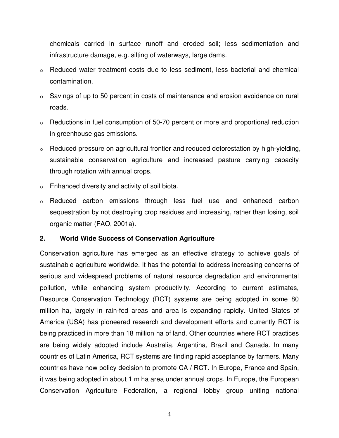chemicals carried in surface runoff and eroded soil; less sedimentation and infrastructure damage, e.g. silting of waterways, large dams.

- o Reduced water treatment costs due to less sediment, less bacterial and chemical contamination.
- $\circ$  Savings of up to 50 percent in costs of maintenance and erosion avoidance on rural roads.
- o Reductions in fuel consumption of 50-70 percent or more and proportional reduction in greenhouse gas emissions.
- $\circ$  Reduced pressure on agricultural frontier and reduced deforestation by high-yielding, sustainable conservation agriculture and increased pasture carrying capacity through rotation with annual crops.
- o Enhanced diversity and activity of soil biota.
- o Reduced carbon emissions through less fuel use and enhanced carbon sequestration by not destroying crop residues and increasing, rather than losing, soil organic matter (FAO, 2001a).

#### **2. World Wide Success of Conservation Agriculture**

Conservation agriculture has emerged as an effective strategy to achieve goals of sustainable agriculture worldwide. It has the potential to address increasing concerns of serious and widespread problems of natural resource degradation and environmental pollution, while enhancing system productivity. According to current estimates, Resource Conservation Technology (RCT) systems are being adopted in some 80 million ha, largely in rain-fed areas and area is expanding rapidly. United States of America (USA) has pioneered research and development efforts and currently RCT is being practiced in more than 18 million ha of land. Other countries where RCT practices are being widely adopted include Australia, Argentina, Brazil and Canada. In many countries of Latin America, RCT systems are finding rapid acceptance by farmers. Many countries have now policy decision to promote CA / RCT. In Europe, France and Spain, it was being adopted in about 1 m ha area under annual crops. In Europe, the European Conservation Agriculture Federation, a regional lobby group uniting national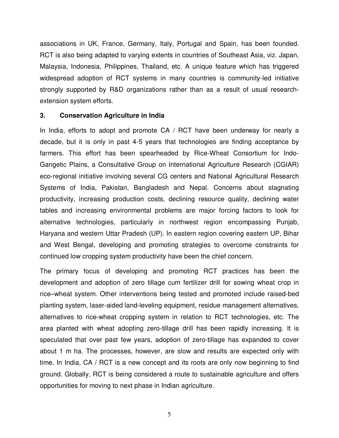associations in UK, France, Germany, Italy, Portugal and Spain, has been founded. RCT is also being adapted to varying extents in countries of Southeast Asia, viz. Japan, Malaysia, Indonesia, Philippines, Thailand, etc. A unique feature which has triggered widespread adoption of RCT systems in many countries is community-led initiative strongly supported by R&D organizations rather than as a result of usual researchextension system efforts.

#### **3. Conservation Agriculture in India**

In India, efforts to adopt and promote CA / RCT have been underway for nearly a decade, but it is only in past 4-5 years that technologies are finding acceptance by farmers. This effort has been spearheaded by Rice-Wheat Consortium for Indo-Gangetic Plains, a Consultative Group on International Agriculture Research (CGIAR) eco-regional initiative involving several CG centers and National Agricultural Research Systems of India, Pakistan, Bangladesh and Nepal. Concerns about stagnating productivity, increasing production costs, declining resource quality, declining water tables and increasing environmental problems are major forcing factors to look for alternative technologies, particularly in northwest region encompassing Punjab, Haryana and western Uttar Pradesh (UP). In eastern region covering eastern UP, Bihar and West Bengal, developing and promoting strategies to overcome constraints for continued low cropping system productivity have been the chief concern.

The primary focus of developing and promoting RCT practices has been the development and adoption of zero tillage cum fertilizer drill for sowing wheat crop in rice–wheat system. Other interventions being tested and promoted include raised-bed planting system, laser-aided land-leveling equipment, residue management alternatives, alternatives to rice-wheat cropping system in relation to RCT technologies, etc. The area planted with wheat adopting zero-tillage drill has been rapidly increasing. It is speculated that over past few years, adoption of zero-tillage has expanded to cover about 1 m ha. The processes, however, are slow and results are expected only with time. In India, CA / RCT is a new concept and its roots are only now beginning to find ground. Globally, RCT is being considered a route to sustainable agriculture and offers opportunities for moving to next phase in Indian agriculture.

5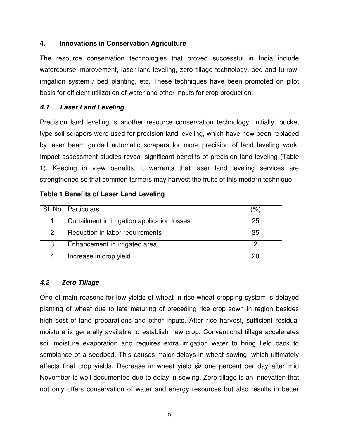#### **4. Innovations in Conservation Agriculture**

The resource conservation technologies that proved successful in India include watercourse improvement, laser land leveling, zero tillage technology, bed and furrow, irrigation system / bed planting, etc. These techniques have been promoted on pilot basis for efficient utilization of water and other inputs for crop production.

#### *4.1 Laser Land Leveling*

Precision land leveling is another resource conservation technology, initially, bucket type soil scrapers were used for precision land leveling, which have now been replaced by laser beam guided automatic scrapers for more precision of land leveling work. Impact assessment studies reveal significant benefits of precision land leveling (Table 1). Keeping in view benefits, it warrants that laser land leveling services are strengthened so that common farmers may harvest the fruits of this modern technique.

#### **Table 1 Benefits of Laser Land Leveling**

| SI. No        | Particulars                                  | (%) |
|---------------|----------------------------------------------|-----|
|               | Curtailment in irrigation application losses | 25  |
| $\mathcal{P}$ | Reduction in labor requirements              | 35  |
| 3             | Enhancement in irrigated area                |     |
|               | Increase in crop yield                       | 20  |

# *4.2 Zero Tillage*

One of main reasons for low yields of wheat in rice-wheat cropping system is delayed planting of wheat due to late maturing of preceding rice crop sown in region besides high cost of land preparations and other inputs. After rice harvest, sufficient residual moisture is generally available to establish new crop. Conventional tillage accelerates soil moisture evaporation and requires extra irrigation water to bring field back to semblance of a seedbed. This causes major delays in wheat sowing, which ultimately affects final crop yields. Decrease in wheat yield  $\omega$  one percent per day after mid November is well documented due to delay in sowing. Zero tillage is an innovation that not only offers conservation of water and energy resources but also results in better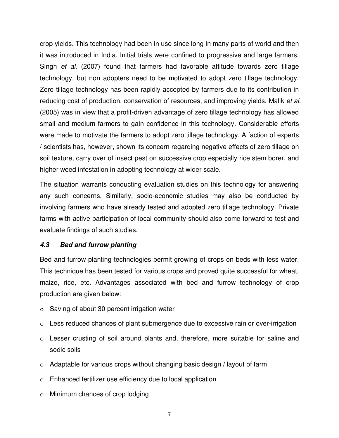crop yields. This technology had been in use since long in many parts of world and then it was introduced in India. Initial trials were confined to progressive and large farmers. Singh *et al*. (2007) found that farmers had favorable attitude towards zero tillage technology, but non adopters need to be motivated to adopt zero tillage technology. Zero tillage technology has been rapidly accepted by farmers due to its contribution in reducing cost of production, conservation of resources, and improving yields. Malik *et al.* (2005) was in view that a profit-driven advantage of zero tillage technology has allowed small and medium farmers to gain confidence in this technology. Considerable efforts were made to motivate the farmers to adopt zero tillage technology. A faction of experts / scientists has, however, shown its concern regarding negative effects of zero tillage on soil texture, carry over of insect pest on successive crop especially rice stem borer, and higher weed infestation in adopting technology at wider scale.

The situation warrants conducting evaluation studies on this technology for answering any such concerns. Similarly, socio-economic studies may also be conducted by involving farmers who have already tested and adopted zero tillage technology. Private farms with active participation of local community should also come forward to test and evaluate findings of such studies.

#### *4.3 Bed and furrow planting*

Bed and furrow planting technologies permit growing of crops on beds with less water. This technique has been tested for various crops and proved quite successful for wheat, maize, rice, etc. Advantages associated with bed and furrow technology of crop production are given below:

- o Saving of about 30 percent irrigation water
- o Less reduced chances of plant submergence due to excessive rain or over-irrigation
- o Lesser crusting of soil around plants and, therefore, more suitable for saline and sodic soils
- o Adaptable for various crops without changing basic design / layout of farm
- o Enhanced fertilizer use efficiency due to local application
- o Minimum chances of crop lodging

7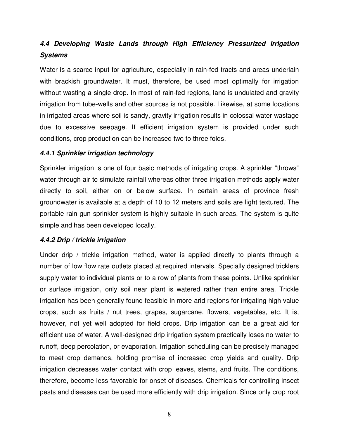# *4.4 Developing Waste Lands through High Efficiency Pressurized Irrigation Systems*

Water is a scarce input for agriculture, especially in rain-fed tracts and areas underlain with brackish groundwater. It must, therefore, be used most optimally for irrigation without wasting a single drop. In most of rain-fed regions, land is undulated and gravity irrigation from tube-wells and other sources is not possible. Likewise, at some locations in irrigated areas where soil is sandy, gravity irrigation results in colossal water wastage due to excessive seepage. If efficient irrigation system is provided under such conditions, crop production can be increased two to three folds.

#### *4.4.1 Sprinkler irrigation technology*

Sprinkler irrigation is one of four basic methods of irrigating crops. A sprinkler "throws" water through air to simulate rainfall whereas other three irrigation methods apply water directly to soil, either on or below surface. In certain areas of province fresh groundwater is available at a depth of 10 to 12 meters and soils are light textured. The portable rain gun sprinkler system is highly suitable in such areas. The system is quite simple and has been developed locally.

#### *4.4.2 Drip / trickle irrigation*

Under drip / trickle irrigation method, water is applied directly to plants through a number of low flow rate outlets placed at required intervals. Specially designed tricklers supply water to individual plants or to a row of plants from these points. Unlike sprinkler or surface irrigation, only soil near plant is watered rather than entire area. Trickle irrigation has been generally found feasible in more arid regions for irrigating high value crops, such as fruits / nut trees, grapes, sugarcane, flowers, vegetables, etc. It is, however, not yet well adopted for field crops. Drip irrigation can be a great aid for efficient use of water. A well-designed drip irrigation system practically loses no water to runoff, deep percolation, or evaporation. Irrigation scheduling can be precisely managed to meet crop demands, holding promise of increased crop yields and quality. Drip irrigation decreases water contact with crop leaves, stems, and fruits. The conditions, therefore, become less favorable for onset of diseases. Chemicals for controlling insect pests and diseases can be used more efficiently with drip irrigation. Since only crop root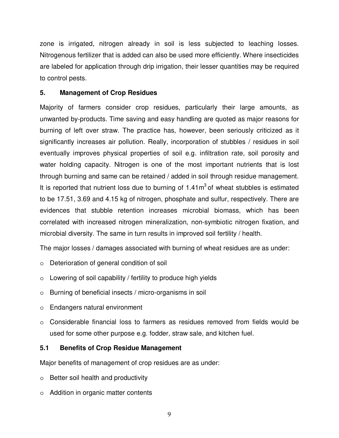zone is irrigated, nitrogen already in soil is less subjected to leaching losses. Nitrogenous fertilizer that is added can also be used more efficiently. Where insecticides are labeled for application through drip irrigation, their lesser quantities may be required to control pests.

#### **5. Management of Crop Residues**

Majority of farmers consider crop residues, particularly their large amounts, as unwanted by-products. Time saving and easy handling are quoted as major reasons for burning of left over straw. The practice has, however, been seriously criticized as it significantly increases air pollution. Really, incorporation of stubbles / residues in soil eventually improves physical properties of soil e.g. infiltration rate, soil porosity and water holding capacity. Nitrogen is one of the most important nutrients that is lost through burning and same can be retained / added in soil through residue management. It is reported that nutrient loss due to burning of  $1.41m<sup>3</sup>$  of wheat stubbles is estimated to be 17.51, 3.69 and 4.15 kg of nitrogen, phosphate and sulfur, respectively. There are evidences that stubble retention increases microbial biomass, which has been correlated with increased nitrogen mineralization, non-symbiotic nitrogen fixation, and microbial diversity. The same in turn results in improved soil fertility / health.

The major losses / damages associated with burning of wheat residues are as under:

- o Deterioration of general condition of soil
- o Lowering of soil capability / fertility to produce high yields
- o Burning of beneficial insects / micro-organisms in soil
- o Endangers natural environment
- o Considerable financial loss to farmers as residues removed from fields would be used for some other purpose e.g. fodder, straw sale, and kitchen fuel.

# **5.1 Benefits of Crop Residue Management**

Major benefits of management of crop residues are as under:

- o Better soil health and productivity
- o Addition in organic matter contents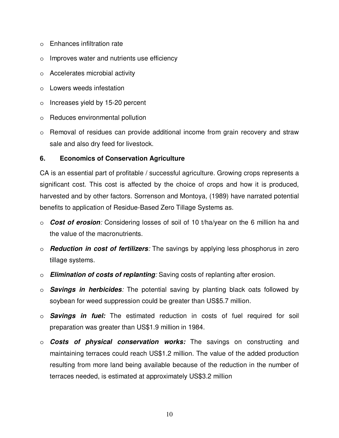- o Enhances infiltration rate
- o Improves water and nutrients use efficiency
- o Accelerates microbial activity
- o Lowers weeds infestation
- o Increases yield by 15-20 percent
- o Reduces environmental pollution
- o Removal of residues can provide additional income from grain recovery and straw sale and also dry feed for livestock.

### **6. Economics of Conservation Agriculture**

CA is an essential part of profitable / successful agriculture. Growing crops represents a significant cost. This cost is affected by the choice of crops and how it is produced, harvested and by other factors. Sorrenson and Montoya, (1989) have narrated potential benefits to application of Residue-Based Zero Tillage Systems as.

- o *Cost of erosion:* Considering losses of soil of 10 t/ha/year on the 6 million ha and the value of the macronutrients.
- o *Reduction in cost of fertilizers:* The savings by applying less phosphorus in zero tillage systems.
- o *Elimination of costs of replanting:* Saving costs of replanting after erosion.
- o *Savings in herbicides:* The potential saving by planting black oats followed by soybean for weed suppression could be greater than US\$5.7 million.
- o *Savings in fuel:* The estimated reduction in costs of fuel required for soil preparation was greater than US\$1.9 million in 1984.
- o *Costs of physical conservation works:* The savings on constructing and maintaining terraces could reach US\$1.2 million. The value of the added production resulting from more land being available because of the reduction in the number of terraces needed, is estimated at approximately US\$3.2 million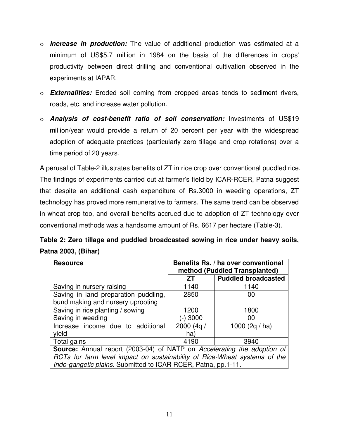- o *Increase in production:* The value of additional production was estimated at a minimum of US\$5.7 million in 1984 on the basis of the differences in crops' productivity between direct drilling and conventional cultivation observed in the experiments at IAPAR.
- o *Externalities:* Eroded soil coming from cropped areas tends to sediment rivers, roads, etc. and increase water pollution.
- o *Analysis of cost-benefit ratio of soil conservation:* Investments of US\$19 million/year would provide a return of 20 percent per year with the widespread adoption of adequate practices (particularly zero tillage and crop rotations) over a time period of 20 years.

A perusal of Table-2 illustrates benefits of ZT in rice crop over conventional puddled rice. The findings of experiments carried out at farmer's field by ICAR-RCER, Patna suggest that despite an additional cash expenditure of Rs.3000 in weeding operations, ZT technology has proved more remunerative to farmers. The same trend can be observed in wheat crop too, and overall benefits accrued due to adoption of ZT technology over conventional methods was a handsome amount of Rs. 6617 per hectare (Table-3).

| Table 2: Zero tillage and puddled broadcasted sowing in rice under heavy soils, |  |  |  |
|---------------------------------------------------------------------------------|--|--|--|
| Patna 2003, (Bihar)                                                             |  |  |  |

| <b>Resource</b>                                                           | Benefits Rs. / ha over conventional<br>method (Puddled Transplanted) |                            |  |  |  |
|---------------------------------------------------------------------------|----------------------------------------------------------------------|----------------------------|--|--|--|
|                                                                           | <b>ZT</b>                                                            | <b>Puddled broadcasted</b> |  |  |  |
| Saving in nursery raising                                                 | 1140                                                                 | 1140                       |  |  |  |
| Saving in land preparation puddling,                                      | 2850                                                                 | 00                         |  |  |  |
| bund making and nursery uprooting                                         |                                                                      |                            |  |  |  |
| Saving in rice planting / sowing                                          | 1200                                                                 | 1800                       |  |  |  |
| Saving in weeding                                                         | (-) 3000                                                             | 00                         |  |  |  |
| Increase income due to additional                                         | 2000 (4q/                                                            | 1000 (2q / ha)             |  |  |  |
| yield                                                                     | ha)                                                                  |                            |  |  |  |
| Total gains                                                               | 4190                                                                 | 3940                       |  |  |  |
| Source: Annual report (2003-04) of NATP on Accelerating the adoption of   |                                                                      |                            |  |  |  |
| RCTs for farm level impact on sustainability of Rice-Wheat systems of the |                                                                      |                            |  |  |  |
| Indo-gangetic plains. Submitted to ICAR RCER, Patna, pp.1-11.             |                                                                      |                            |  |  |  |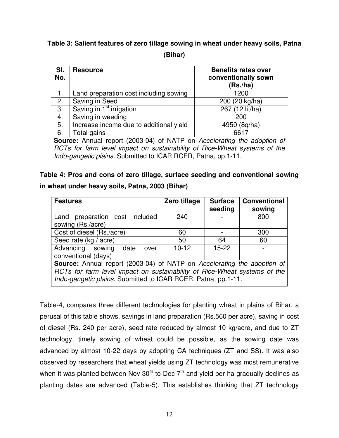## **Table 3: Salient features of zero tillage sowing in wheat under heavy soils, Patna**

**(Bihar)** 

| SI.<br>No.                                                                | <b>Resource</b>                                               | <b>Benefits rates over</b><br>conventionally sown<br>(Rs./ha) |  |  |  |
|---------------------------------------------------------------------------|---------------------------------------------------------------|---------------------------------------------------------------|--|--|--|
| 1.                                                                        | Land preparation cost including sowing                        | 1200                                                          |  |  |  |
| 2.                                                                        | Saving in Seed                                                | 200 (20 kg/ha)                                                |  |  |  |
| 3.                                                                        | Saving in 1 <sup>st</sup> irrigation                          | 267 (12 lit/ha)                                               |  |  |  |
| 4.                                                                        | Saving in weeding                                             | 200                                                           |  |  |  |
| 5.                                                                        | Increase income due to additional yield                       | 4950 (8q/ha)                                                  |  |  |  |
| 6.                                                                        | Total gains                                                   | 6617                                                          |  |  |  |
| Source: Annual report (2003-04) of NATP on Accelerating the adoption of   |                                                               |                                                               |  |  |  |
| RCTs for farm level impact on sustainability of Rice-Wheat systems of the |                                                               |                                                               |  |  |  |
|                                                                           | Indo-gangetic plains. Submitted to ICAR RCER, Patna, pp.1-11. |                                                               |  |  |  |

**Table 4: Pros and cons of zero tillage, surface seeding and conventional sowing in wheat under heavy soils, Patna, 2003 (Bihar)** 

| <b>Features</b>                                                                | Zero tillage | <b>Surface</b> | <b>Conventional</b> |  |  |  |
|--------------------------------------------------------------------------------|--------------|----------------|---------------------|--|--|--|
|                                                                                |              | seeding        | sowing              |  |  |  |
| Land preparation cost included                                                 | 240          |                | 800                 |  |  |  |
| sowing (Rs./acre)                                                              |              |                |                     |  |  |  |
| Cost of diesel (Rs./acre)                                                      | 60           |                | 300                 |  |  |  |
| Seed rate (kg / acre)                                                          | 50           | 64             | 60                  |  |  |  |
| Advancing sowing<br>date<br>over                                               | $10 - 12$    | $15 - 22$      |                     |  |  |  |
| conventional (days)                                                            |              |                |                     |  |  |  |
| <b>Source:</b> Annual report (2003-04) of NATP on Accelerating the adoption of |              |                |                     |  |  |  |
| RCTs for farm level impact on sustainability of Rice-Wheat systems of the      |              |                |                     |  |  |  |
| Indo-gangetic plains. Submitted to ICAR RCER, Patna, pp.1-11.                  |              |                |                     |  |  |  |

Table-4, compares three different technologies for planting wheat in plains of Bihar, a perusal of this table shows, savings in land preparation (Rs.560 per acre), saving in cost of diesel (Rs. 240 per acre), seed rate reduced by almost 10 kg/acre, and due to ZT technology, timely sowing of wheat could be possible, as the sowing date was advanced by almost 10-22 days by adopting CA techniques (ZT and SS). It was also observed by researchers that wheat yields using ZT technology was most remunerative when it was planted between Nov  $30<sup>th</sup>$  to Dec  $7<sup>th</sup>$  and yield per ha gradually declines as planting dates are advanced (Table-5). This establishes thinking that ZT technology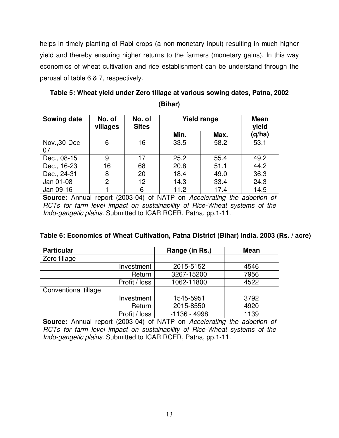helps in timely planting of Rabi crops (a non-monetary input) resulting in much higher yield and thereby ensuring higher returns to the farmers (monetary gains). In this way economics of wheat cultivation and rice establishment can be understand through the perusal of table 6 & 7, respectively.

| Table 5: Wheat yield under Zero tillage at various sowing dates, Patna, 2002 |  |
|------------------------------------------------------------------------------|--|
| (Bihar)                                                                      |  |

| Sowing date                                                                                                                                | No. of<br>villages | No. of<br><b>Sites</b> | <b>Yield range</b> |      | <b>Mean</b><br>yield |  |
|--------------------------------------------------------------------------------------------------------------------------------------------|--------------------|------------------------|--------------------|------|----------------------|--|
|                                                                                                                                            |                    |                        | Min.               | Max. | (q/ha)               |  |
| Nov., 30-Dec<br>07                                                                                                                         | 6                  | 16                     | 33.5               | 58.2 | 53.1                 |  |
| Dec., 08-15                                                                                                                                | 9                  | 17                     | 25.2               | 55.4 | 49.2                 |  |
| Dec., 16-23                                                                                                                                | 16                 | 68                     | 20.8               | 51.1 | 44.2                 |  |
| Dec., 24-31                                                                                                                                | 8                  | 20                     | 18.4               | 49.0 | 36.3                 |  |
| Jan 01-08                                                                                                                                  | 2                  | 12                     | 14.3               | 33.4 | 24.3                 |  |
| Jan 09-16                                                                                                                                  |                    | 6                      | 11.2               | 17.4 | 14.5                 |  |
| <b>Source:</b> Annual report (2003-04) of NATP on Accelerating the adoption of                                                             |                    |                        |                    |      |                      |  |
| RCTs for farm level impact on sustainability of Rice-Wheat systems of the<br>Indo-gangetic plains. Submitted to ICAR RCER, Patna, pp.1-11. |                    |                        |                    |      |                      |  |

| Table 6: Economics of Wheat Cultivation, Patna District (Bihar) India. 2003 (Rs. / acre) |  |  |  |
|------------------------------------------------------------------------------------------|--|--|--|
|                                                                                          |  |  |  |

| <b>Particular</b>                                                                                                                          | Range (in Rs.) | <b>Mean</b> |  |  |  |
|--------------------------------------------------------------------------------------------------------------------------------------------|----------------|-------------|--|--|--|
| Zero tillage                                                                                                                               |                |             |  |  |  |
| Investment                                                                                                                                 | 2015-5152      | 4546        |  |  |  |
| Return                                                                                                                                     | 3267-15200     | 7956        |  |  |  |
| Profit / loss                                                                                                                              | 1062-11800     | 4522        |  |  |  |
| Conventional tillage                                                                                                                       |                |             |  |  |  |
| Investment                                                                                                                                 | 1545-5951      | 3792        |  |  |  |
| 2015-8550<br>4920<br>Return                                                                                                                |                |             |  |  |  |
| Profit / loss                                                                                                                              | $-1136 - 4998$ | 1139        |  |  |  |
| Source: Annual report (2003-04) of NATP on Accelerating the adoption of                                                                    |                |             |  |  |  |
| RCTs for farm level impact on sustainability of Rice-Wheat systems of the<br>Indo-gangetic plains. Submitted to ICAR RCER, Patna, pp.1-11. |                |             |  |  |  |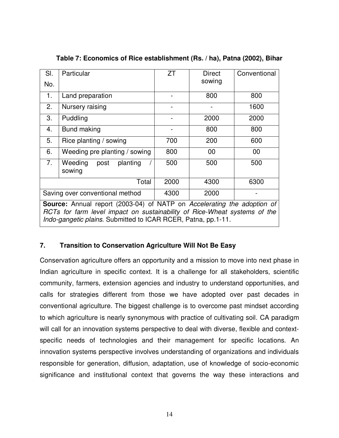| SI.                                                                                                                                                                                                                          | Particular                            | <b>ZT</b> | <b>Direct</b> | Conventional |
|------------------------------------------------------------------------------------------------------------------------------------------------------------------------------------------------------------------------------|---------------------------------------|-----------|---------------|--------------|
| No.                                                                                                                                                                                                                          |                                       |           | sowing        |              |
| 1.                                                                                                                                                                                                                           | Land preparation                      |           | 800           | 800          |
| 2.                                                                                                                                                                                                                           | Nursery raising                       |           |               | 1600         |
| 3.                                                                                                                                                                                                                           | Puddling                              |           | 2000          | 2000         |
| 4.                                                                                                                                                                                                                           | Bund making                           |           | 800           | 800          |
| 5.                                                                                                                                                                                                                           | Rice planting / sowing                | 700       | 200           | 600          |
| 6.                                                                                                                                                                                                                           | Weeding pre planting / sowing         | 800       | 00            | 00           |
| 7 <sub>1</sub>                                                                                                                                                                                                               | Weeding<br>planting<br>post<br>sowing | 500       | 500           | 500          |
|                                                                                                                                                                                                                              | Total                                 | 2000      | 4300          | 6300         |
|                                                                                                                                                                                                                              | Saving over conventional method       | 4300      | 2000          |              |
| <b>Source:</b> Annual report (2003-04) of NATP on Accelerating the adoption of<br>RCTs for farm level impact on sustainability of Rice-Wheat systems of the<br>Indo-gangetic plains. Submitted to ICAR RCER, Patna, pp.1-11. |                                       |           |               |              |

**Table 7: Economics of Rice establishment (Rs. / ha), Patna (2002), Bihar** 

#### **7. Transition to Conservation Agriculture Will Not Be Easy**

Conservation agriculture offers an opportunity and a mission to move into next phase in Indian agriculture in specific context. It is a challenge for all stakeholders, scientific community, farmers, extension agencies and industry to understand opportunities, and calls for strategies different from those we have adopted over past decades in conventional agriculture. The biggest challenge is to overcome past mindset according to which agriculture is nearly synonymous with practice of cultivating soil. CA paradigm will call for an innovation systems perspective to deal with diverse, flexible and contextspecific needs of technologies and their management for specific locations. An innovation systems perspective involves understanding of organizations and individuals responsible for generation, diffusion, adaptation, use of knowledge of socio-economic significance and institutional context that governs the way these interactions and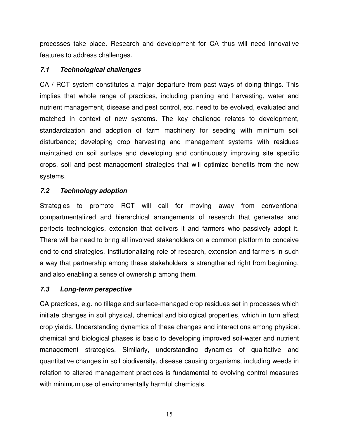processes take place. Research and development for CA thus will need innovative features to address challenges.

#### *7.1 Technological challenges*

CA / RCT system constitutes a major departure from past ways of doing things. This implies that whole range of practices, including planting and harvesting, water and nutrient management, disease and pest control, etc. need to be evolved, evaluated and matched in context of new systems. The key challenge relates to development, standardization and adoption of farm machinery for seeding with minimum soil disturbance; developing crop harvesting and management systems with residues maintained on soil surface and developing and continuously improving site specific crops, soil and pest management strategies that will optimize benefits from the new systems.

# *7.2 Technology adoption*

Strategies to promote RCT will call for moving away from conventional compartmentalized and hierarchical arrangements of research that generates and perfects technologies, extension that delivers it and farmers who passively adopt it. There will be need to bring all involved stakeholders on a common platform to conceive end-to-end strategies. Institutionalizing role of research, extension and farmers in such a way that partnership among these stakeholders is strengthened right from beginning, and also enabling a sense of ownership among them.

# *7.3 Long-term perspective*

CA practices, e.g. no tillage and surface-managed crop residues set in processes which initiate changes in soil physical, chemical and biological properties, which in turn affect crop yields. Understanding dynamics of these changes and interactions among physical, chemical and biological phases is basic to developing improved soil-water and nutrient management strategies. Similarly, understanding dynamics of qualitative and quantitative changes in soil biodiversity, disease causing organisms, including weeds in relation to altered management practices is fundamental to evolving control measures with minimum use of environmentally harmful chemicals.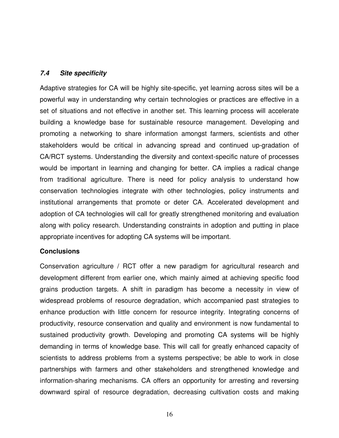#### *7.4 Site specificity*

Adaptive strategies for CA will be highly site-specific, yet learning across sites will be a powerful way in understanding why certain technologies or practices are effective in a set of situations and not effective in another set. This learning process will accelerate building a knowledge base for sustainable resource management. Developing and promoting a networking to share information amongst farmers, scientists and other stakeholders would be critical in advancing spread and continued up-gradation of CA/RCT systems. Understanding the diversity and context-specific nature of processes would be important in learning and changing for better. CA implies a radical change from traditional agriculture. There is need for policy analysis to understand how conservation technologies integrate with other technologies, policy instruments and institutional arrangements that promote or deter CA. Accelerated development and adoption of CA technologies will call for greatly strengthened monitoring and evaluation along with policy research. Understanding constraints in adoption and putting in place appropriate incentives for adopting CA systems will be important.

#### **Conclusions**

Conservation agriculture / RCT offer a new paradigm for agricultural research and development different from earlier one, which mainly aimed at achieving specific food grains production targets. A shift in paradigm has become a necessity in view of widespread problems of resource degradation, which accompanied past strategies to enhance production with little concern for resource integrity. Integrating concerns of productivity, resource conservation and quality and environment is now fundamental to sustained productivity growth. Developing and promoting CA systems will be highly demanding in terms of knowledge base. This will call for greatly enhanced capacity of scientists to address problems from a systems perspective; be able to work in close partnerships with farmers and other stakeholders and strengthened knowledge and information-sharing mechanisms. CA offers an opportunity for arresting and reversing downward spiral of resource degradation, decreasing cultivation costs and making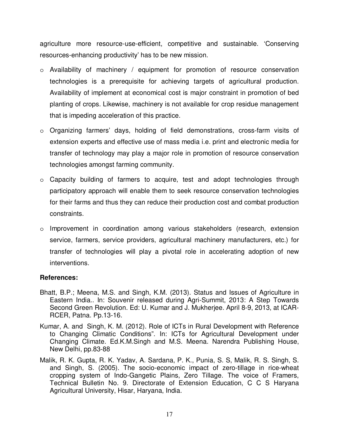agriculture more resource-use-efficient, competitive and sustainable. 'Conserving resources-enhancing productivity' has to be new mission.

- o Availability of machinery / equipment for promotion of resource conservation technologies is a prerequisite for achieving targets of agricultural production. Availability of implement at economical cost is major constraint in promotion of bed planting of crops. Likewise, machinery is not available for crop residue management that is impeding acceleration of this practice.
- o Organizing farmers' days, holding of field demonstrations, cross-farm visits of extension experts and effective use of mass media i.e. print and electronic media for transfer of technology may play a major role in promotion of resource conservation technologies amongst farming community.
- o Capacity building of farmers to acquire, test and adopt technologies through participatory approach will enable them to seek resource conservation technologies for their farms and thus they can reduce their production cost and combat production constraints.
- o Improvement in coordination among various stakeholders (research, extension service, farmers, service providers, agricultural machinery manufacturers, etc.) for transfer of technologies will play a pivotal role in accelerating adoption of new interventions.

#### **References:**

- Bhatt, B.P.; Meena, M.S. and Singh, K.M. (2013). Status and Issues of Agriculture in Eastern India.. In: Souvenir released during Agri-Summit, 2013: A Step Towards Second Green Revolution. Ed: U. Kumar and J. Mukherjee. April 8-9, 2013, at ICAR-RCER, Patna. Pp.13-16.
- Kumar, A. and Singh, K. M. (2012). Role of ICTs in Rural Development with Reference to Changing Climatic Conditions". In: ICTs for Agricultural Development under Changing Climate. Ed.K.M.Singh and M.S. Meena. Narendra Publishing House, New Delhi, pp.83-88
- Malik, R. K. Gupta, R. K. Yadav, A. Sardana, P. K., Punia, S. S, Malik, R. S. Singh, S. and Singh, S. (2005). The socio-economic impact of zero-tillage in rice-wheat cropping system of Indo-Gangetic Plains, Zero Tillage. The voice of Framers, Technical Bulletin No. 9. Directorate of Extension Education, C C S Haryana Agricultural University, Hisar, Haryana, India.